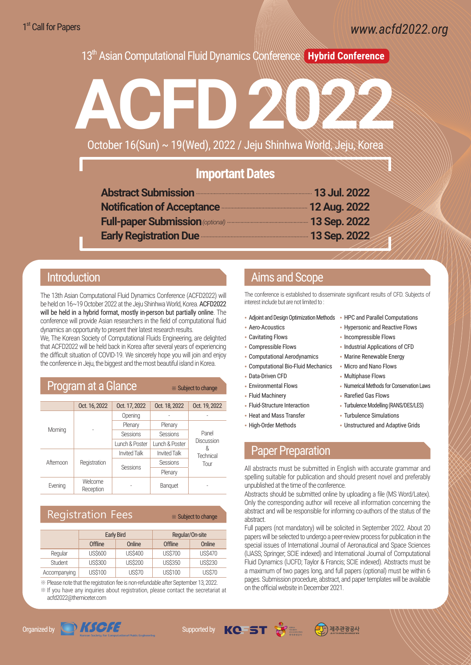www.acfd2022.org

13th Asian Computational Fluid Dynamics Conference **Hybrid Conference**



### **Important Dates**

| Abstract Submission <b>Manual Abstract</b> Submission <b>Manual Abstract Submission</b> |  |
|-----------------------------------------------------------------------------------------|--|
| Notification of Acceptance <b>Manual Acceptance</b> 12 Aug. 2022                        |  |
| Full-paper Submission (optional) ………………………………………… 13 Sep. 2022                          |  |
| Early Registration Due <b>Construction</b> 2022                                         |  |
|                                                                                         |  |

### Introduction

The 13th Asian Computational Fluid Dynamics Conference (ACFD2022) will be held on 16~19 October 2022 at the Jeju Shinhwa World, Korea. ACFD2022 will be held in a hybrid format, mostly in-person but partially online. The conference will provide Asian researchers in the field of computational fluid dynamics an opportunity to present their latest research results.

We, The Korean Society of Computational Fluids Engineering, are delighted that ACFD2022 will be held back in Korea after several years of experiencing the difficult situation of COVID-19. We sincerely hope you will join and enjoy the conference in Jeju, the biggest and the most beautiful island in Korea.

| <b>Program at a Glance</b> |                      |                     | * Subject to change |                                               |
|----------------------------|----------------------|---------------------|---------------------|-----------------------------------------------|
|                            | Oct. 16, 2022        | Oct. 17, 2022       | Oct. 18, 2022       | Oct. 19, 2022                                 |
| Morning                    |                      | Opening             |                     |                                               |
|                            |                      | Plenary             | Plenary             | Panel<br>Discussion<br>ጼ<br>Technical<br>Tour |
|                            |                      | <b>Sessions</b>     | <b>Sessions</b>     |                                               |
|                            |                      | Lunch & Poster      | Lunch & Poster      |                                               |
| Afternoon                  | Registration         | <b>Invited Talk</b> | <b>Invited Talk</b> |                                               |
|                            |                      | <b>Sessions</b>     | Sessions            |                                               |
|                            |                      |                     | Plenary             |                                               |
| Evening                    | Welcome<br>Reception |                     | Banquet             |                                               |

### Registration Fees ※ Subject to change

|              | <b>Early Bird</b> |                | Regular/On-site |                |
|--------------|-------------------|----------------|-----------------|----------------|
|              | Offline           | Online         | Offline         | Online         |
| Regular      | <b>US\$600</b>    | <b>US\$400</b> | <b>US\$700</b>  | <b>US\$470</b> |
| Student      | <b>US\$300</b>    | <b>US\$200</b> | <b>US\$350</b>  | <b>US\$230</b> |
| Accompanying | <b>US\$100</b>    | <b>US\$70</b>  | <b>US\$100</b>  | <b>US\$70</b>  |

※Please note that the registration fee is non-refundable after September 13, 2022.

※If you have any inquiries about registration, please contact the secretariat at acfd2022@themiceter.com

# Organized by  $\bigcirc$  KSCFE Supported by  $\mathsf{KC}$  5T  $\mathcal{S}$

## Aims and Scope

The conference is established to disseminate significant results of CFD. Subjects of interest include but are not limited to :

- Adjoint and Design Optimization Methods HPC and Parallel Computations
- Aero-Acoustics
- Cavitating Flows
- Compressible Flows
- Computational Aerodynamics
- Computational Bio-Fluid Mechanics
- Data-Driven CFD
- Environmental Flows
- Fluid Machinery
- Fluid-Structure Interaction
- Heat and Mass Transfer
- High-Order Methods
- 
- Hypersonic and Reactive Flows
- Incompressible Flows
- Industrial Applications of CFD
- Marine Renewable Energy
- Micro and Nano Flows
- Multiphase Flows
- Numerical Methods for Conservation Laws
- Rarefied Gas Flows
- Turbulence Modelling (RANS/DES/LES)
- Turbulence Simulations
- Unstructured and Adaptive Grids

### Paper Preparation

All abstracts must be submitted in English with accurate grammar and spelling suitable for publication and should present novel and preferably unpublished at the time of the conference.

Abstracts should be submitted online by uploading a file (MS Word/Latex). Only the corresponding author will receive all information concerning the abstract and will be responsible for informing co-authors of the status of the abstract.

Full papers (not mandatory) will be solicited in September 2022. About 20 papers will be selected to undergo a peer-review process for publication in the special issues of International Journal of Aeronautical and Space Sciences (IJASS; Springer; SCIE indexed) and International Journal of Computational Fluid Dynamics (IJCFD; Taylor & Francis; SCIE indexed). Abstracts must be a maximum of two pages long, and full papers (optional) must be within 6 pages. Submission procedure, abstract, and paper templates will be available on the official website in December 2021.